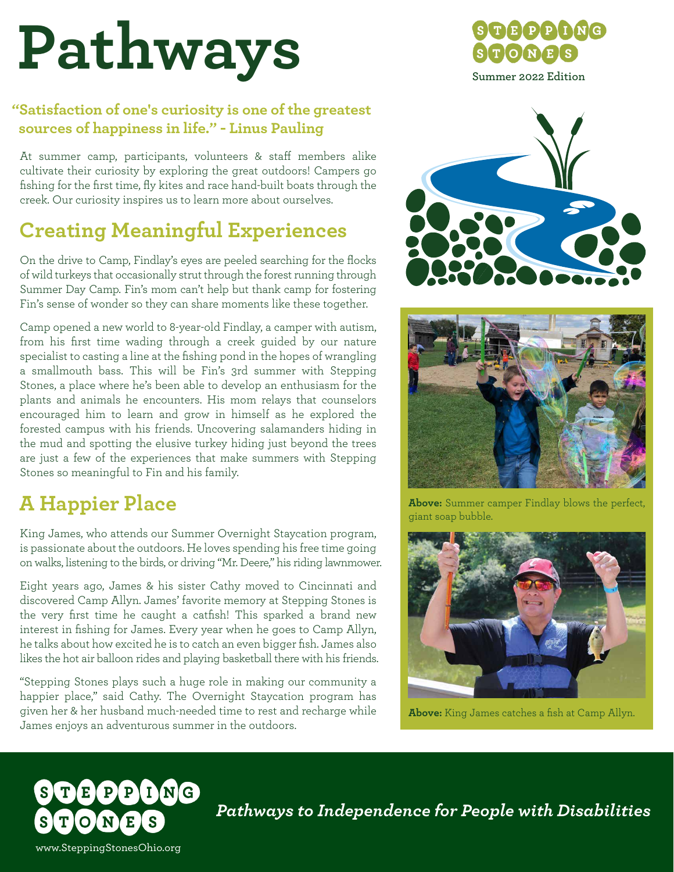# **Pathways**

## **"Satisfaction of one's curiosity is one of the greatest sources of happiness in life." - Linus Pauling**

At summer camp, participants, volunteers & staff members alike cultivate their curiosity by exploring the great outdoors! Campers go fishing for the first time, fly kites and race hand-built boats through the creek. Our curiosity inspires us to learn more about ourselves.

# **Creating Meaningful Experiences**

On the drive to Camp, Findlay's eyes are peeled searching for the flocks of wild turkeys that occasionally strut through the forest running through Summer Day Camp. Fin's mom can't help but thank camp for fostering Fin's sense of wonder so they can share moments like these together.

Camp opened a new world to 8-year-old Findlay, a camper with autism, from his first time wading through a creek guided by our nature specialist to casting a line at the fishing pond in the hopes of wrangling a smallmouth bass. This will be Fin's 3rd summer with Stepping Stones, a place where he's been able to develop an enthusiasm for the plants and animals he encounters. His mom relays that counselors encouraged him to learn and grow in himself as he explored the forested campus with his friends. Uncovering salamanders hiding in the mud and spotting the elusive turkey hiding just beyond the trees are just a few of the experiences that make summers with Stepping Stones so meaningful to Fin and his family.

# **A Happier Place**

King James, who attends our Summer Overnight Staycation program, is passionate about the outdoors. He loves spending his free time going on walks, listening to the birds, or driving "Mr. Deere," his riding lawnmower.

Eight years ago, James & his sister Cathy moved to Cincinnati and discovered Camp Allyn. James' favorite memory at Stepping Stones is the very first time he caught a catfish! This sparked a brand new interest in fishing for James. Every year when he goes to Camp Allyn, he talks about how excited he is to catch an even bigger fish. James also likes the hot air balloon rides and playing basketball there with his friends.

"Stepping Stones plays such a huge role in making our community a happier place," said Cathy. The Overnight Staycation program has given her & her husband much-needed time to rest and recharge while James enjoys an adventurous summer in the outdoors.

ING

S







**Above:** Summer camper Findlay blows the perfect, giant soap bubble.



**Above:** King James catches a fish at Camp Allyn.

*Pathways to Independence for People with Disabilities*

www.SteppingStonesOhio.org

 $\mathbf{N}$ Œ